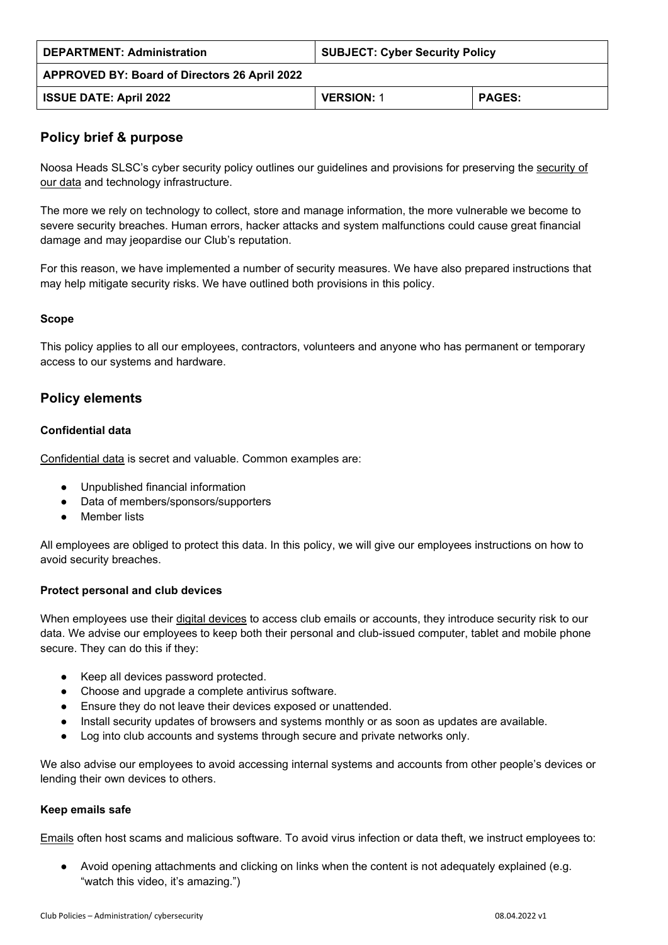| <b>DEPARTMENT: Administration</b>                    | <b>SUBJECT: Cyber Security Policy</b> |               |
|------------------------------------------------------|---------------------------------------|---------------|
| <b>APPROVED BY: Board of Directors 26 April 2022</b> |                                       |               |
| <b>ISSUE DATE: April 2022</b>                        | <b>VERSION: 1</b>                     | <b>PAGES:</b> |

# **Policy brief & purpose**

Noosa H[e](https://resources.workable.com/data-protection-company-policy)ads SLSC's cyber security policy outlines our guidelines and provisions for preserving the security of our data and technology infrastructure.

The more we rely on technology to collect, store and manage information, the more vulnerable we become to severe security breaches. Human errors, hacker attacks and system malfunctions could cause great financial damage and may jeopardise our Club's reputation.

For this reason, we have implemented a number of security measures. We have also prepared instructions that may help mitigate security risks. We have outlined both provisions in this policy.

# **Scope**

This policy applies to all our employees, contractors, volunteers and anyone who has permanent or temporary access to our systems and hardware.

# **Policy elements**

## **Confidential data**

Confidential data is secret and valuable. Common examples are:

- Unpublished financial information
- Data of members/sponsors/supporters
- Member lists

All employees are obliged to protect this data. In this policy, we will give our employees instructions on how to avoid security breaches.

## **Protect personal and club devices**

When employees use thei[r](https://resources.workable.com/cell-phone-company-policy) digital devices to access club emails or accounts, they introduce security risk to our data. We advise our employees to keep both their personal and club-issued computer, tablet and mobile phone secure. They can do this if they:

- Keep all devices password protected.
- Choose and upgrade a complete antivirus software.
- Ensure they do not leave their devices exposed or unattended.
- Install security updates of browsers and systems monthly or as soon as updates are available.
- Log into club accounts and systems through secure and private networks only.

We also advise our employees to avoid accessing internal systems and accounts from other people's devices or lending their own devices to others.

## **Keep emails safe**

Emails often host scams and malicious software. To avoid virus infection or data theft, we instruct employees to:

Avoid opening attachments and clicking on links when the content is not adequately explained (e.g. "watch this video, it's amazing.")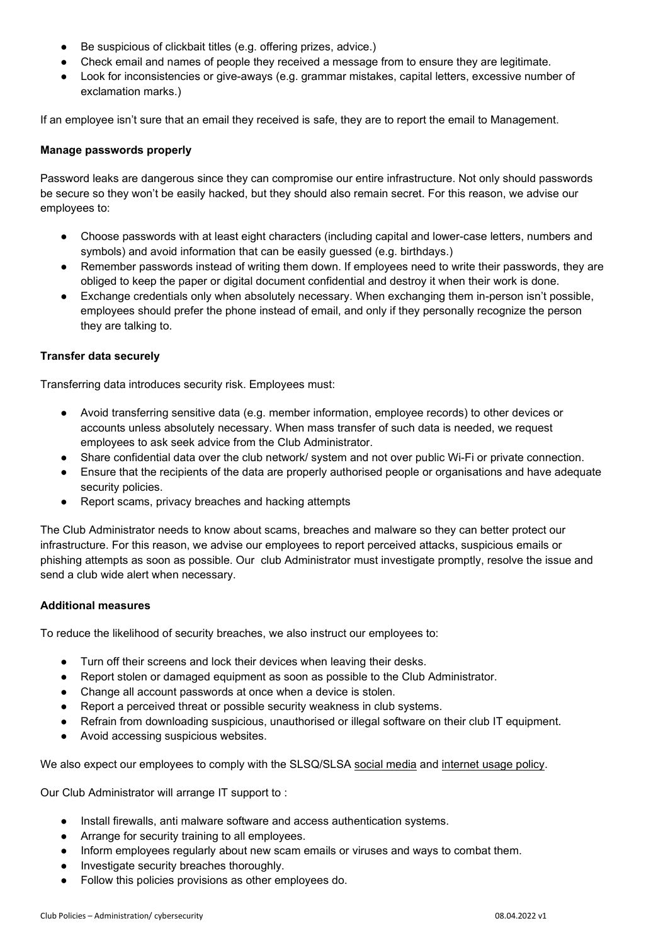- Be suspicious of clickbait titles (e.g. offering prizes, advice.)
- Check email and names of people they received a message from to ensure they are legitimate.
- Look for inconsistencies or give-aways (e.g. grammar mistakes, capital letters, excessive number of exclamation marks.)

If an employee isn't sure that an email they received is safe, they are to report the email to Management.

#### **Manage passwords properly**

Password leaks are dangerous since they can compromise our entire infrastructure. Not only should passwords be secure so they won't be easily hacked, but they should also remain secret. For this reason, we advise our employees to:

- Choose passwords with at least eight characters (including capital and lower-case letters, numbers and symbols) and avoid information that can be easily guessed (e.g. birthdays.)
- Remember passwords instead of writing them down. If employees need to write their passwords, they are obliged to keep the paper or digital document confidential and destroy it when their work is done.
- Exchange credentials only when absolutely necessary. When exchanging them in-person isn't possible, employees should prefer the phone instead of email, and only if they personally recognize the person they are talking to.

#### **Transfer data securely**

Transferring data introduces security risk. Employees must:

- Avoid transferring sensitive data (e.g. member information, employee records) to other devices or accounts unless absolutely necessary. When mass transfer of such data is needed, we request employees to ask seek advice from the Club Administrator.
- Share confidential data over the club network/ system and not over public Wi-Fi or private connection.
- Ensure that the recipients of the data are properly authorised people or organisations and have adequate security policies.
- Report scams, privacy breaches and hacking attempts

The Club Administrator needs to know about scams, breaches and malware so they can better protect our infrastructure. For this reason, we advise our employees to report perceived attacks, suspicious emails or phishing attempts as soon as possible. Our club Administrator must investigate promptly, resolve the issue and send a club wide alert when necessary.

#### **Additional measures**

To reduce the likelihood of security breaches, we also instruct our employees to:

- Turn off their screens and lock their devices when leaving their desks.
- Report stolen or damaged equipment as soon as possible to the Club Administrator.
- Change all account passwords at once when a device is stolen.
- Report a perceived threat or possible security weakness in club systems.
- Refrain from downloading suspicious, unauthorised or illegal software on their club IT equipment.
- Avoid accessing suspicious websites.

We also expect our employees to comply w[i](https://resources.workable.com/internet-usage-policy)th the SLSQ/SLSA social media and internet usage policy.

Our Club Administrator will arrange IT support to :

- Install firewalls, anti malware software and access authentication systems.
- Arrange for security training to all employees.
- Inform employees regularly about new scam emails or viruses and ways to combat them.
- Investigate security breaches thoroughly.
- Follow this policies provisions as other employees do.